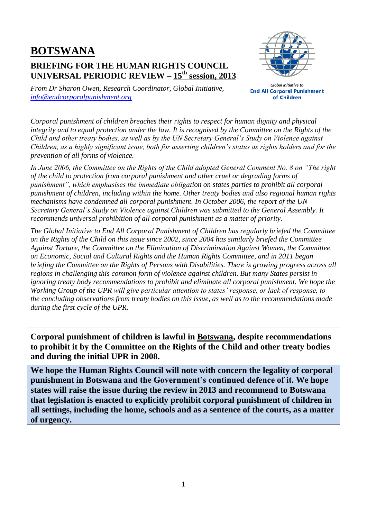# **BOTSWANA**

# **BRIEFING FOR THE HUMAN RIGHTS COUNCIL UNIVERSAL PERIODIC REVIEW – 15 th session, 2013**



*From Dr Sharon Owen, Research Coordinator, Global Initiative, [info@endcorporalpunishment.org](mailto:info@endcorporalpunishment.org)*

**Global Initiative to End All Corporal Punishment** of Children

*Corporal punishment of children breaches their rights to respect for human dignity and physical integrity and to equal protection under the law. It is recognised by the Committee on the Rights of the Child and other treaty bodies, as well as by the UN Secretary General's Study on Violence against Children, as a highly significant issue, both for asserting children's status as rights holders and for the prevention of all forms of violence.*

*In June 2006, the Committee on the Rights of the Child adopted General Comment No. 8 on "The right of the child to protection from corporal punishment and other cruel or degrading forms of punishment", which emphasises the immediate obligation on states parties to prohibit all corporal punishment of children, including within the home. Other treaty bodies and also regional human rights mechanisms have condemned all corporal punishment. In October 2006, the report of the UN Secretary General's Study on Violence against Children was submitted to the General Assembly. It recommends universal prohibition of all corporal punishment as a matter of priority.*

*The Global Initiative to End All Corporal Punishment of Children has regularly briefed the Committee on the Rights of the Child on this issue since 2002, since 2004 has similarly briefed the Committee Against Torture, the Committee on the Elimination of Discrimination Against Women, the Committee on Economic, Social and Cultural Rights and the Human Rights Committee, and in 2011 began briefing the Committee on the Rights of Persons with Disabilities. There is growing progress across all regions in challenging this common form of violence against children. But many States persist in ignoring treaty body recommendations to prohibit and eliminate all corporal punishment. We hope the Working Group of the UPR will give particular attention to states' response, or lack of response, to the concluding observations from treaty bodies on this issue, as well as to the recommendations made during the first cycle of the UPR.*

**Corporal punishment of children is lawful in Botswana, despite recommendations to prohibit it by the Committee on the Rights of the Child and other treaty bodies and during the initial UPR in 2008.**

**We hope the Human Rights Council will note with concern the legality of corporal punishment in Botswana and the Government's continued defence of it. We hope states will raise the issue during the review in 2013 and recommend to Botswana that legislation is enacted to explicitly prohibit corporal punishment of children in all settings, including the home, schools and as a sentence of the courts, as a matter of urgency.**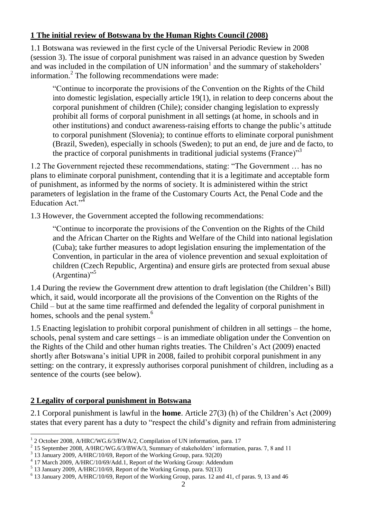#### **1 The initial review of Botswana by the Human Rights Council (2008)**

1.1 Botswana was reviewed in the first cycle of the Universal Periodic Review in 2008 (session 3). The issue of corporal punishment was raised in an advance question by Sweden and was included in the compilation of UN information<sup>1</sup> and the summary of stakeholders' information.<sup>2</sup> The following recommendations were made:

"Continue to incorporate the provisions of the Convention on the Rights of the Child into domestic legislation, especially article 19(1), in relation to deep concerns about the corporal punishment of children (Chile); consider changing legislation to expressly prohibit all forms of corporal punishment in all settings (at home, in schools and in other institutions) and conduct awareness-raising efforts to change the public's attitude to corporal punishment (Slovenia); to continue efforts to eliminate corporal punishment (Brazil, Sweden), especially in schools (Sweden); to put an end, de jure and de facto, to the practice of corporal punishments in traditional judicial systems (France) $^{3}$ 

1.2 The Government rejected these recommendations, stating: "The Government … has no plans to eliminate corporal punishment, contending that it is a legitimate and acceptable form of punishment, as informed by the norms of society. It is administered within the strict parameters of legislation in the frame of the Customary Courts Act, the Penal Code and the Education Act."<sup>4</sup>

1.3 However, the Government accepted the following recommendations:

"Continue to incorporate the provisions of the Convention on the Rights of the Child and the African Charter on the Rights and Welfare of the Child into national legislation (Cuba); take further measures to adopt legislation ensuring the implementation of the Convention, in particular in the area of violence prevention and sexual exploitation of children (Czech Republic, Argentina) and ensure girls are protected from sexual abuse (Argentina)"<sup>5</sup>

1.4 During the review the Government drew attention to draft legislation (the Children's Bill) which, it said, would incorporate all the provisions of the Convention on the Rights of the Child – but at the same time reaffirmed and defended the legality of corporal punishment in homes, schools and the penal system.<sup>6</sup>

1.5 Enacting legislation to prohibit corporal punishment of children in all settings – the home, schools, penal system and care settings – is an immediate obligation under the Convention on the Rights of the Child and other human rights treaties. The Children's Act (2009) enacted shortly after Botswana's initial UPR in 2008, failed to prohibit corporal punishment in any setting: on the contrary, it expressly authorises corporal punishment of children, including as a sentence of the courts (see below).

## **2 Legality of corporal punishment in Botswana**

 $\overline{a}$ 

2.1 Corporal punishment is lawful in the **home**. Article 27(3) (h) of the Children's Act (2009) states that every parent has a duty to "respect the child's dignity and refrain from administering

<sup>&</sup>lt;sup>1</sup> 2 October 2008, A/HRC/WG.6/3/BWA/2, Compilation of UN information, para. 17

<sup>&</sup>lt;sup>2</sup> 15 September 2008, A/HRC/WG.6/3/BWA/3, Summary of stakeholders' information, paras. 7, 8 and 11

<sup>3</sup> 13 January 2009, A/HRC/10/69, Report of the Working Group, para. 92(20)

<sup>4</sup> 17 March 2009, A/HRC/10/69/Add.1, Report of the Working Group: Addendum

<sup>5</sup> 13 January 2009, A/HRC/10/69, Report of the Working Group, para. 92(13)

<sup>6</sup> 13 January 2009, A/HRC/10/69, Report of the Working Group, paras. 12 and 41, cf paras. 9, 13 and 46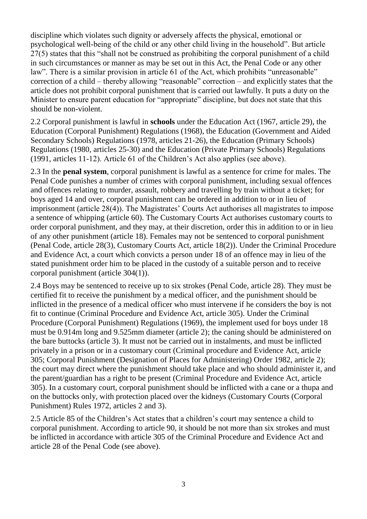discipline which violates such dignity or adversely affects the physical, emotional or psychological well-being of the child or any other child living in the household". But article 27(5) states that this "shall not be construed as prohibiting the corporal punishment of a child in such circumstances or manner as may be set out in this Act, the Penal Code or any other law". There is a similar provision in article 61 of the Act, which prohibits "unreasonable" correction of a child – thereby allowing "reasonable" correction – and explicitly states that the article does not prohibit corporal punishment that is carried out lawfully. It puts a duty on the Minister to ensure parent education for "appropriate" discipline, but does not state that this should be non-violent.

2.2 Corporal punishment is lawful in **schools** under the Education Act (1967, article 29), the Education (Corporal Punishment) Regulations (1968), the Education (Government and Aided Secondary Schools) Regulations (1978, articles 21-26), the Education (Primary Schools) Regulations (1980, articles 25-30) and the Education (Private Primary Schools) Regulations (1991, articles 11-12). Article 61 of the Children's Act also applies (see above).

2.3 In the **penal system**, corporal punishment is lawful as a sentence for crime for males. The Penal Code punishes a number of crimes with corporal punishment, including sexual offences and offences relating to murder, assault, robbery and travelling by train without a ticket; for boys aged 14 and over, corporal punishment can be ordered in addition to or in lieu of imprisonment (article 28(4)). The Magistrates' Courts Act authorises all magistrates to impose a sentence of whipping (article 60). The Customary Courts Act authorises customary courts to order corporal punishment, and they may, at their discretion, order this in addition to or in lieu of any other punishment (article 18). Females may not be sentenced to corporal punishment (Penal Code, article 28(3), Customary Courts Act, article 18(2)). Under the Criminal Procedure and Evidence Act, a court which convicts a person under 18 of an offence may in lieu of the stated punishment order him to be placed in the custody of a suitable person and to receive corporal punishment (article 304(1)).

2.4 Boys may be sentenced to receive up to six strokes (Penal Code, article 28). They must be certified fit to receive the punishment by a medical officer, and the punishment should be inflicted in the presence of a medical officer who must intervene if he considers the boy is not fit to continue (Criminal Procedure and Evidence Act, article 305). Under the Criminal Procedure (Corporal Punishment) Regulations (1969), the implement used for boys under 18 must be 0.914m long and 9.525mm diameter (article 2); the caning should be administered on the bare buttocks (article 3). It must not be carried out in instalments, and must be inflicted privately in a prison or in a customary court (Criminal procedure and Evidence Act, article 305; Corporal Punishment (Designation of Places for Administering) Order 1982, article 2); the court may direct where the punishment should take place and who should administer it, and the parent/guardian has a right to be present (Criminal Procedure and Evidence Act, article 305). In a customary court, corporal punishment should be inflicted with a cane or a thupa and on the buttocks only, with protection placed over the kidneys (Customary Courts (Corporal Punishment) Rules 1972, articles 2 and 3).

2.5 Article 85 of the Children's Act states that a children's court may sentence a child to corporal punishment. According to article 90, it should be not more than six strokes and must be inflicted in accordance with article 305 of the Criminal Procedure and Evidence Act and article 28 of the Penal Code (see above).